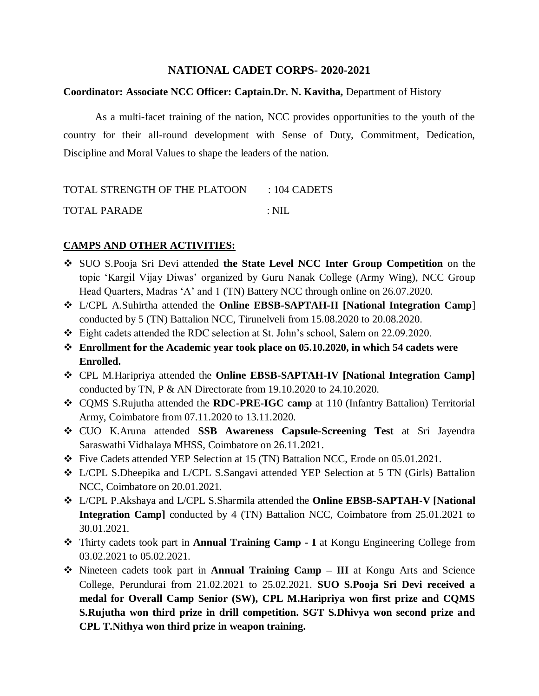## **NATIONAL CADET CORPS- 2020-2021**

## **Coordinator: Associate NCC Officer: Captain.Dr. N. Kavitha,** Department of History

As a multi-facet training of the nation, NCC provides opportunities to the youth of the country for their all-round development with Sense of Duty, Commitment, Dedication, Discipline and Moral Values to shape the leaders of the nation.

| TOTAL STRENGTH OF THE PLATOON | $: 104$ CADETS |
|-------------------------------|----------------|
| <b>TOTAL PARADE</b>           | $\cdot$ NII.   |

## **CAMPS AND OTHER ACTIVITIES:**

- SUO S.Pooja Sri Devi attended **the State Level NCC Inter Group Competition** on the topic 'Kargil Vijay Diwas' organized by Guru Nanak College (Army Wing), NCC Group Head Quarters, Madras 'A' and 1 (TN) Battery NCC through online on 26.07.2020.
- L/CPL A.Suhirtha attended the **Online EBSB-SAPTAH-II [National Integration Camp**] conducted by 5 (TN) Battalion NCC, Tirunelveli from 15.08.2020 to 20.08.2020.
- Eight cadets attended the RDC selection at St. John's school, Salem on 22.09.2020.
- **Enrollment for the Academic year took place on 05.10.2020, in which 54 cadets were Enrolled.**
- CPL M.Haripriya attended the **Online EBSB-SAPTAH-IV [National Integration Camp]** conducted by TN, P & AN Directorate from 19.10.2020 to 24.10.2020.
- CQMS S.Rujutha attended the **RDC-PRE-IGC camp** at 110 (Infantry Battalion) Territorial Army, Coimbatore from 07.11.2020 to 13.11.2020.
- CUO K.Aruna attended **SSB Awareness Capsule-Screening Test** at Sri Jayendra Saraswathi Vidhalaya MHSS, Coimbatore on 26.11.2021.
- Five Cadets attended YEP Selection at 15 (TN) Battalion NCC, Erode on 05.01.2021.
- L/CPL S.Dheepika and L/CPL S.Sangavi attended YEP Selection at 5 TN (Girls) Battalion NCC, Coimbatore on 20.01.2021.
- L/CPL P.Akshaya and L/CPL S.Sharmila attended the **Online EBSB-SAPTAH-V [National Integration Camp]** conducted by 4 (TN) Battalion NCC, Coimbatore from 25.01.2021 to 30.01.2021.
- Thirty cadets took part in **Annual Training Camp - I** at Kongu Engineering College from 03.02.2021 to 05.02.2021.
- Nineteen cadets took part in **Annual Training Camp – III** at Kongu Arts and Science College, Perundurai from 21.02.2021 to 25.02.2021. **SUO S.Pooja Sri Devi received a medal for Overall Camp Senior (SW), CPL M.Haripriya won first prize and CQMS S.Rujutha won third prize in drill competition. SGT S.Dhivya won second prize and CPL T.Nithya won third prize in weapon training.**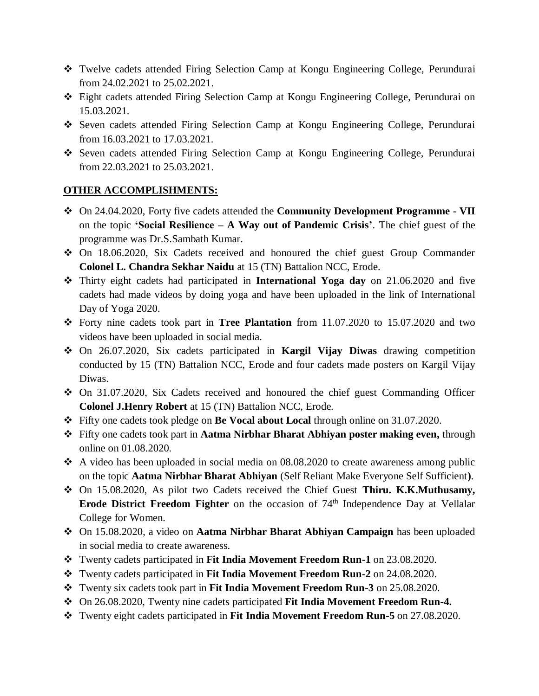- Twelve cadets attended Firing Selection Camp at Kongu Engineering College, Perundurai from 24.02.2021 to 25.02.2021.
- Eight cadets attended Firing Selection Camp at Kongu Engineering College, Perundurai on 15.03.2021.
- Seven cadets attended Firing Selection Camp at Kongu Engineering College, Perundurai from 16.03.2021 to 17.03.2021.
- Seven cadets attended Firing Selection Camp at Kongu Engineering College, Perundurai from 22.03.2021 to 25.03.2021.

## **OTHER ACCOMPLISHMENTS:**

- On 24.04.2020, Forty five cadets attended the **Community Development Programme - VII** on the topic **'Social Resilience – A Way out of Pandemic Crisis'**. The chief guest of the programme was Dr.S.Sambath Kumar.
- On 18.06.2020, Six Cadets received and honoured the chief guest Group Commander **Colonel L. Chandra Sekhar Naidu** at 15 (TN) Battalion NCC, Erode.
- Thirty eight cadets had participated in **International Yoga day** on 21.06.2020 and five cadets had made videos by doing yoga and have been uploaded in the link of International Day of Yoga 2020.
- Forty nine cadets took part in **Tree Plantation** from 11.07.2020 to 15.07.2020 and two videos have been uploaded in social media.
- On 26.07.2020, Six cadets participated in **Kargil Vijay Diwas** drawing competition conducted by 15 (TN) Battalion NCC, Erode and four cadets made posters on Kargil Vijay Diwas.
- On 31.07.2020, Six Cadets received and honoured the chief guest Commanding Officer **Colonel J.Henry Robert** at 15 (TN) Battalion NCC, Erode.
- Fifty one cadets took pledge on **Be Vocal about Local** through online on 31.07.2020.
- Fifty one cadets took part in **Aatma Nirbhar Bharat Abhiyan poster making even,** through online on 01.08.2020.
- $\triangle$  A video has been uploaded in social media on 08.08.2020 to create awareness among public on the topic **Aatma Nirbhar Bharat Abhiyan** (Self Reliant Make Everyone Self Sufficient**)**.
- On 15.08.2020, As pilot two Cadets received the Chief Guest **Thiru. K.K.Muthusamy, Erode District Freedom Fighter** on the occasion of 74<sup>th</sup> Independence Day at Vellalar College for Women.
- On 15.08.2020, a video on **Aatma Nirbhar Bharat Abhiyan Campaign** has been uploaded in social media to create awareness.
- Twenty cadets participated in **Fit India Movement Freedom Run-1** on 23.08.2020.
- Twenty cadets participated in **Fit India Movement Freedom Run-2** on 24.08.2020.
- Twenty six cadets took part in **Fit India Movement Freedom Run-3** on 25.08.2020.
- On 26.08.2020, Twenty nine cadets participated **Fit India Movement Freedom Run-4.**
- Twenty eight cadets participated in **Fit India Movement Freedom Run-5** on 27.08.2020.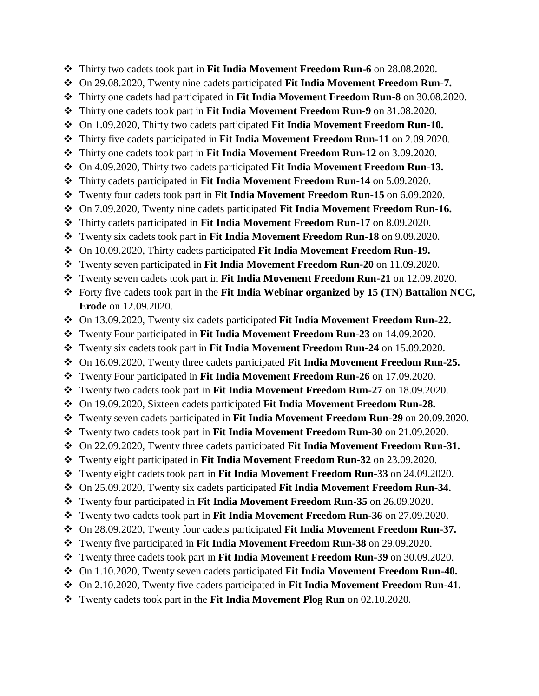- Thirty two cadets took part in **Fit India Movement Freedom Run-6** on 28.08.2020.
- On 29.08.2020, Twenty nine cadets participated **Fit India Movement Freedom Run-7.**
- Thirty one cadets had participated in **Fit India Movement Freedom Run-8** on 30.08.2020.
- Thirty one cadets took part in **Fit India Movement Freedom Run-9** on 31.08.2020.
- On 1.09.2020, Thirty two cadets participated **Fit India Movement Freedom Run-10.**
- Thirty five cadets participated in **Fit India Movement Freedom Run-11** on 2.09.2020.
- Thirty one cadets took part in **Fit India Movement Freedom Run-12** on 3.09.2020.
- On 4.09.2020, Thirty two cadets participated **Fit India Movement Freedom Run-13.**
- Thirty cadets participated in **Fit India Movement Freedom Run-14** on 5.09.2020.
- Twenty four cadets took part in **Fit India Movement Freedom Run-15** on 6.09.2020.
- On 7.09.2020, Twenty nine cadets participated **Fit India Movement Freedom Run-16.**
- Thirty cadets participated in **Fit India Movement Freedom Run-17** on 8.09.2020.
- Twenty six cadets took part in **Fit India Movement Freedom Run-18** on 9.09.2020.
- On 10.09.2020, Thirty cadets participated **Fit India Movement Freedom Run-19.**
- Twenty seven participated in **Fit India Movement Freedom Run-20** on 11.09.2020.
- Twenty seven cadets took part in **Fit India Movement Freedom Run-21** on 12.09.2020.
- Forty five cadets took part in the **Fit India Webinar organized by 15 (TN) Battalion NCC, Erode** on 12.09.2020.
- On 13.09.2020, Twenty six cadets participated **Fit India Movement Freedom Run-22.**
- Twenty Four participated in **Fit India Movement Freedom Run-23** on 14.09.2020.
- Twenty six cadets took part in **Fit India Movement Freedom Run-24** on 15.09.2020.
- On 16.09.2020, Twenty three cadets participated **Fit India Movement Freedom Run-25.**
- Twenty Four participated in **Fit India Movement Freedom Run-26** on 17.09.2020.
- Twenty two cadets took part in **Fit India Movement Freedom Run-27** on 18.09.2020.
- On 19.09.2020, Sixteen cadets participated **Fit India Movement Freedom Run-28.**
- Twenty seven cadets participated in **Fit India Movement Freedom Run-29** on 20.09.2020.
- Twenty two cadets took part in **Fit India Movement Freedom Run-30** on 21.09.2020.
- On 22.09.2020, Twenty three cadets participated **Fit India Movement Freedom Run-31.**
- Twenty eight participated in **Fit India Movement Freedom Run-32** on 23.09.2020.
- Twenty eight cadets took part in **Fit India Movement Freedom Run-33** on 24.09.2020.
- On 25.09.2020, Twenty six cadets participated **Fit India Movement Freedom Run-34.**
- Twenty four participated in **Fit India Movement Freedom Run-35** on 26.09.2020.
- Twenty two cadets took part in **Fit India Movement Freedom Run-36** on 27.09.2020.
- On 28.09.2020, Twenty four cadets participated **Fit India Movement Freedom Run-37.**
- Twenty five participated in **Fit India Movement Freedom Run-38** on 29.09.2020.
- Twenty three cadets took part in **Fit India Movement Freedom Run-39** on 30.09.2020.
- On 1.10.2020, Twenty seven cadets participated **Fit India Movement Freedom Run-40.**
- On 2.10.2020, Twenty five cadets participated in **Fit India Movement Freedom Run-41.**
- Twenty cadets took part in the **Fit India Movement Plog Run** on 02.10.2020.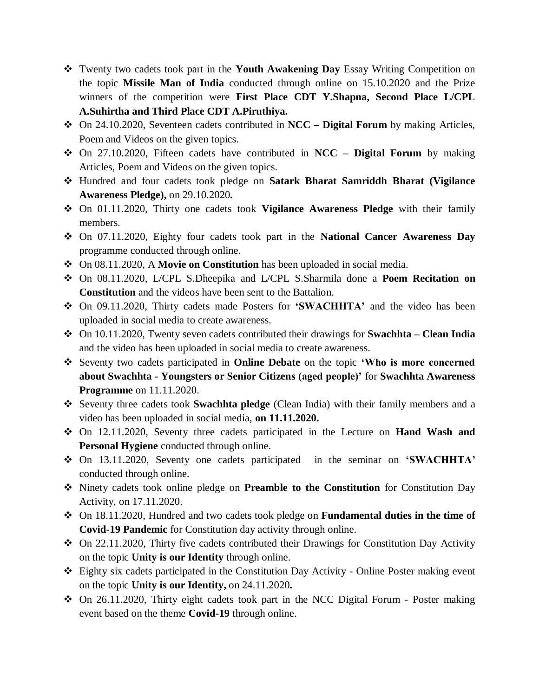- Twenty two cadets took part in the **Youth Awakening Day** Essay Writing Competition on the topic **Missile Man of India** conducted through online on 15.10.2020 and the Prize winners of the competition were **First Place CDT Y.Shapna, Second Place L/CPL A.Suhirtha and Third Place CDT A.Piruthiya.**
- On 24.10.2020, Seventeen cadets contributed in **NCC – Digital Forum** by making Articles, Poem and Videos on the given topics.
- On 27.10.2020, Fifteen cadets have contributed in **NCC – Digital Forum** by making Articles, Poem and Videos on the given topics.
- Hundred and four cadets took pledge on **Satark Bharat Samriddh Bharat (Vigilance Awareness Pledge),** on 29.10.2020**.**
- On 01.11.2020, Thirty one cadets took **Vigilance Awareness Pledge** with their family members.
- On 07.11.2020, Eighty four cadets took part in the **National Cancer Awareness Day** programme conducted through online.
- On 08.11.2020, A **Movie on Constitution** has been uploaded in social media.
- On 08.11.2020, L/CPL S.Dheepika and L/CPL S.Sharmila done a **Poem Recitation on Constitution** and the videos have been sent to the Battalion.
- On 09.11.2020, Thirty cadets made Posters for **'SWACHHTA'** and the video has been uploaded in social media to create awareness.
- On 10.11.2020, Twenty seven cadets contributed their drawings for **Swachhta – Clean India** and the video has been uploaded in social media to create awareness.
- Seventy two cadets participated in **Online Debate** on the topic **'Who is more concerned about Swachhta - Youngsters or Senior Citizens (aged people)'** for **Swachhta Awareness Programme** on 11.11.2020.
- Seventy three cadets took **Swachhta pledge** (Clean India) with their family members and a video has been uploaded in social media, **on 11.11.2020.**
- On 12.11.2020, Seventy three cadets participated in the Lecture on **Hand Wash and Personal Hygiene** conducted through online.
- On 13.11.2020, Seventy one cadets participated in the seminar on **'SWACHHTA'** conducted through online.
- Ninety cadets took online pledge on **Preamble to the Constitution** for Constitution Day Activity, on 17.11.2020.
- On 18.11.2020, Hundred and two cadets took pledge on **Fundamental duties in the time of Covid-19 Pandemic** for Constitution day activity through online.
- On 22.11.2020, Thirty five cadets contributed their Drawings for Constitution Day Activity on the topic **Unity is our Identity** through online.
- Eighty six cadets participated in the Constitution Day Activity Online Poster making event on the topic **Unity is our Identity,** on 24.11.2020**.**
- $\div$  On 26.11.2020, Thirty eight cadets took part in the NCC Digital Forum Poster making event based on the theme **Covid-19** through online.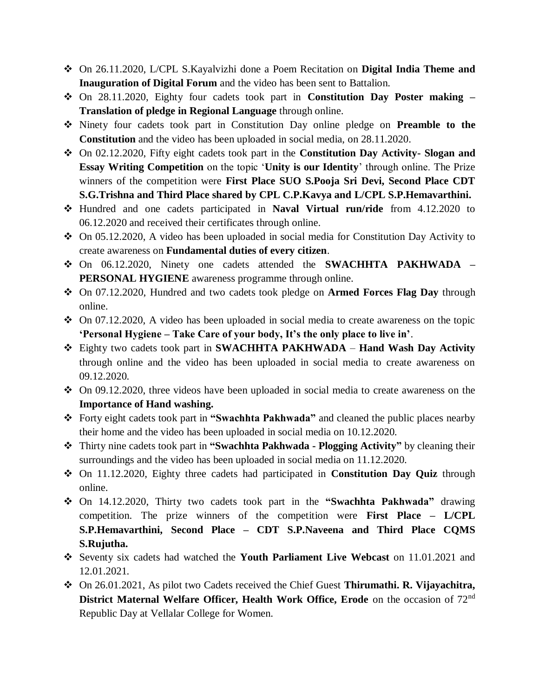- On 26.11.2020, L/CPL S.Kayalvizhi done a Poem Recitation on **Digital India Theme and Inauguration of Digital Forum** and the video has been sent to Battalion.
- On 28.11.2020, Eighty four cadets took part in **Constitution Day Poster making – Translation of pledge in Regional Language** through online.
- Ninety four cadets took part in Constitution Day online pledge on **Preamble to the Constitution** and the video has been uploaded in social media, on 28.11.2020.
- On 02.12.2020, Fifty eight cadets took part in the **Constitution Day Activity- Slogan and Essay Writing Competition** on the topic '**Unity is our Identity**' through online. The Prize winners of the competition were **First Place SUO S.Pooja Sri Devi, Second Place CDT S.G.Trishna and Third Place shared by CPL C.P.Kavya and L/CPL S.P.Hemavarthini.**
- Hundred and one cadets participated in **Naval Virtual run/ride** from 4.12.2020 to 06.12.2020 and received their certificates through online.
- On 05.12.2020, A video has been uploaded in social media for Constitution Day Activity to create awareness on **Fundamental duties of every citizen**.
- On 06.12.2020, Ninety one cadets attended the **SWACHHTA PAKHWADA – PERSONAL HYGIENE** awareness programme through online.
- On 07.12.2020, Hundred and two cadets took pledge on **Armed Forces Flag Day** through online.
- $\div$  On 07.12.2020, A video has been uploaded in social media to create awareness on the topic **'Personal Hygiene – Take Care of your body, It's the only place to live in'**.
- Eighty two cadets took part in **SWACHHTA PAKHWADA Hand Wash Day Activity** through online and the video has been uploaded in social media to create awareness on 09.12.2020.
- On 09.12.2020, three videos have been uploaded in social media to create awareness on the **Importance of Hand washing.**
- Forty eight cadets took part in **"Swachhta Pakhwada"** and cleaned the public places nearby their home and the video has been uploaded in social media on 10.12.2020.
- Thirty nine cadets took part in **"Swachhta Pakhwada - Plogging Activity"** by cleaning their surroundings and the video has been uploaded in social media on 11.12.2020.
- On 11.12.2020, Eighty three cadets had participated in **Constitution Day Quiz** through online.
- On 14.12.2020, Thirty two cadets took part in the **"Swachhta Pakhwada"** drawing competition. The prize winners of the competition were **First Place – L/CPL S.P.Hemavarthini, Second Place – CDT S.P.Naveena and Third Place CQMS S.Rujutha.**
- Seventy six cadets had watched the **Youth Parliament Live Webcast** on 11.01.2021 and 12.01.2021.
- On 26.01.2021, As pilot two Cadets received the Chief Guest **Thirumathi. R. Vijayachitra, District Maternal Welfare Officer, Health Work Office, Erode** on the occasion of 72<sup>nd</sup> Republic Day at Vellalar College for Women.